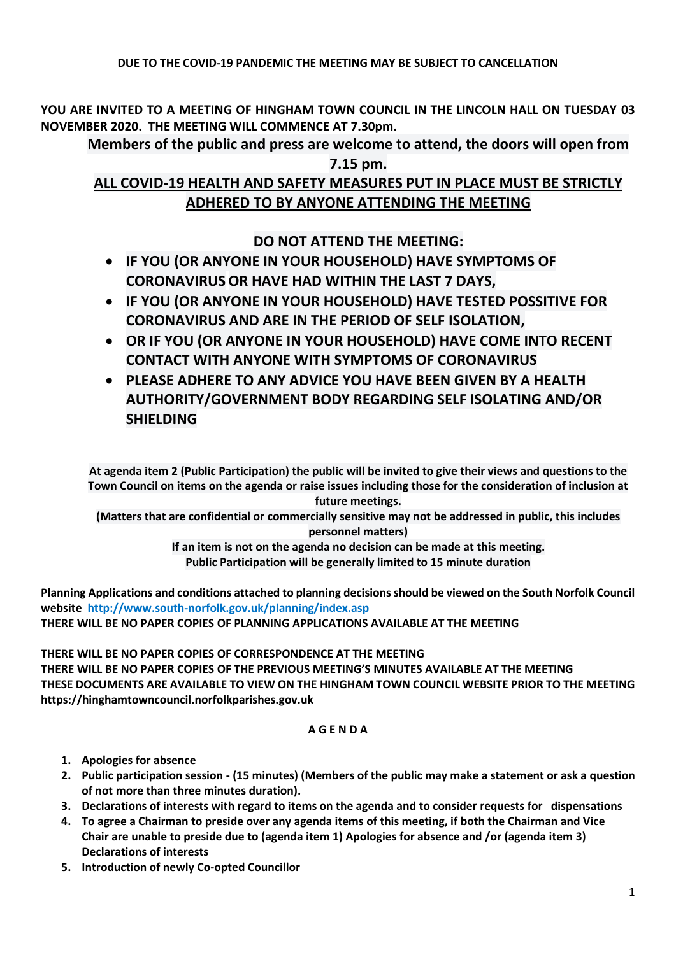**YOU ARE INVITED TO A MEETING OF HINGHAM TOWN COUNCIL IN THE LINCOLN HALL ON TUESDAY 03 NOVEMBER 2020. THE MEETING WILL COMMENCE AT 7.30pm.** 

**Members of the public and press are welcome to attend, the doors will open from 7.15 pm.**

# **ALL COVID-19 HEALTH AND SAFETY MEASURES PUT IN PLACE MUST BE STRICTLY ADHERED TO BY ANYONE ATTENDING THE MEETING**

**DO NOT ATTEND THE MEETING:**

- **IF YOU (OR ANYONE IN YOUR HOUSEHOLD) HAVE SYMPTOMS OF CORONAVIRUS OR HAVE HAD WITHIN THE LAST 7 DAYS,**
- **IF YOU (OR ANYONE IN YOUR HOUSEHOLD) HAVE TESTED POSSITIVE FOR CORONAVIRUS AND ARE IN THE PERIOD OF SELF ISOLATION,**
- **OR IF YOU (OR ANYONE IN YOUR HOUSEHOLD) HAVE COME INTO RECENT CONTACT WITH ANYONE WITH SYMPTOMS OF CORONAVIRUS**
- **PLEASE ADHERE TO ANY ADVICE YOU HAVE BEEN GIVEN BY A HEALTH AUTHORITY/GOVERNMENT BODY REGARDING SELF ISOLATING AND/OR SHIELDING**

**At agenda item 2 (Public Participation) the public will be invited to give their views and questions to the Town Council on items on the agenda or raise issues including those for the consideration of inclusion at future meetings.**

**(Matters that are confidential or commercially sensitive may not be addressed in public, this includes personnel matters)**

> **If an item is not on the agenda no decision can be made at this meeting. Public Participation will be generally limited to 15 minute duration**

**Planning Applications and conditions attached to planning decisions should be viewed on the South Norfolk Council website <http://www.south-norfolk.gov.uk/planning/index.asp> THERE WILL BE NO PAPER COPIES OF PLANNING APPLICATIONS AVAILABLE AT THE MEETING**

**THERE WILL BE NO PAPER COPIES OF CORRESPONDENCE AT THE MEETING THERE WILL BE NO PAPER COPIES OF THE PREVIOUS MEETING'S MINUTES AVAILABLE AT THE MEETING THESE DOCUMENTS ARE AVAILABLE TO VIEW ON THE HINGHAM TOWN COUNCIL WEBSITE PRIOR TO THE MEETING https://hinghamtowncouncil.norfolkparishes.gov.uk**

## **A G E N D A**

- **1. Apologies for absence**
- **2. Public participation session - (15 minutes) (Members of the public may make a statement or ask a question of not more than three minutes duration).**
- **3. Declarations of interests with regard to items on the agenda and to consider requests for dispensations**
- **4. To agree a Chairman to preside over any agenda items of this meeting, if both the Chairman and Vice Chair are unable to preside due to (agenda item 1) Apologies for absence and /or (agenda item 3) Declarations of interests**
- **5. Introduction of newly Co-opted Councillor**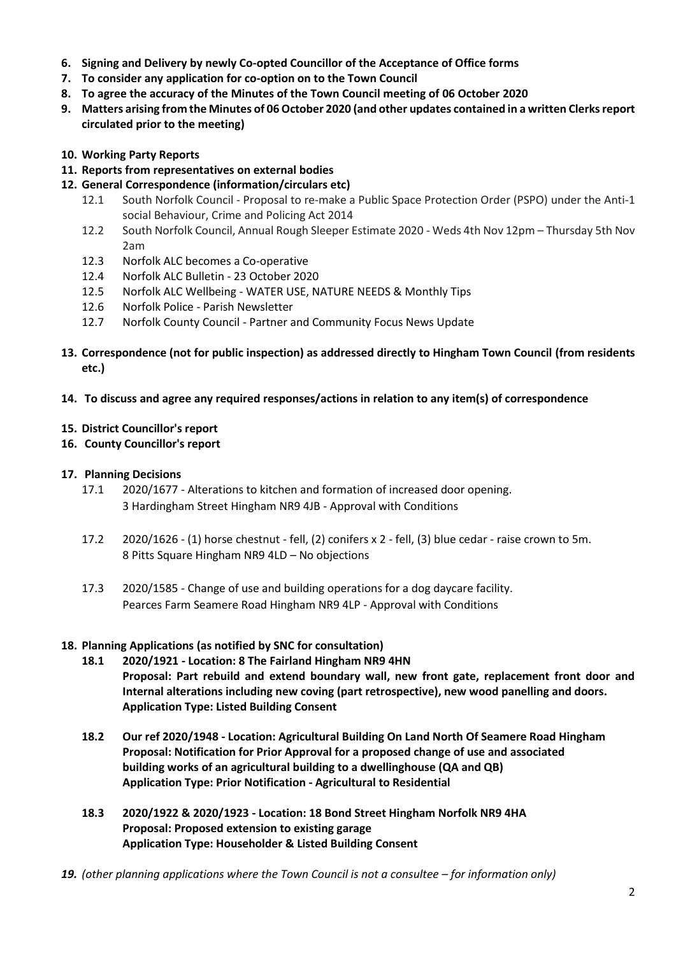- **6. Signing and Delivery by newly Co-opted Councillor of the Acceptance of Office forms**
- **7. To consider any application for co-option on to the Town Council**
- **8. To agree the accuracy of the Minutes of the Town Council meeting of 06 October 2020**
- **9. Matters arising from the Minutes of 06 October 2020 (and other updates contained in a written Clerksreport circulated prior to the meeting)**
- **10. Working Party Reports**
- **11. Reports from representatives on external bodies**
- **12. General Correspondence (information/circulars etc)**
	- 12.1 South Norfolk Council Proposal to re-make a Public Space Protection Order (PSPO) under the Anti-1 social Behaviour, Crime and Policing Act 2014
	- 12.2 South Norfolk Council, Annual Rough Sleeper Estimate 2020 Weds 4th Nov 12pm Thursday 5th Nov 2am
	- 12.3 Norfolk ALC becomes a Co-operative
	- 12.4 Norfolk ALC Bulletin 23 October 2020
	- 12.5 Norfolk ALC Wellbeing WATER USE, NATURE NEEDS & Monthly Tips
	- 12.6 Norfolk Police Parish Newsletter
	- 12.7 Norfolk County Council Partner and Community Focus News Update
- **13. Correspondence (not for public inspection) as addressed directly to Hingham Town Council (from residents etc.)**
- **14. To discuss and agree any required responses/actions in relation to any item(s) of correspondence**

## **15. District Councillor's report**

**16. County Councillor's report**

## **17. Planning Decisions**

- 17.1 2020/1677 Alterations to kitchen and formation of increased door opening. 3 Hardingham Street Hingham NR9 4JB - Approval with Conditions
- 17.2 2020/1626 (1) horse chestnut fell, (2) conifers x 2 fell, (3) blue cedar raise crown to 5m. 8 Pitts Square Hingham NR9 4LD – No objections
- 17.3 2020/1585 Change of use and building operations for a dog daycare facility. Pearces Farm Seamere Road Hingham NR9 4LP - Approval with Conditions

## **18. Planning Applications (as notified by SNC for consultation)**

- **18.1 2020/1921 - Location: 8 The Fairland Hingham NR9 4HN Proposal: Part rebuild and extend boundary wall, new front gate, replacement front door and Internal alterations including new coving (part retrospective), new wood panelling and doors. Application Type: Listed Building Consent**
- **18.2 Our ref 2020/1948 - Location: Agricultural Building On Land North Of Seamere Road Hingham Proposal: Notification for Prior Approval for a proposed change of use and associated building works of an agricultural building to a dwellinghouse (QA and QB) Application Type: Prior Notification - Agricultural to Residential**
- **18.3 2020/1922 & 2020/1923 - Location: 18 Bond Street Hingham Norfolk NR9 4HA Proposal: Proposed extension to existing garage Application Type: Householder & Listed Building Consent**
- **19.** *(other planning applications where the Town Council is not a consultee for information only)*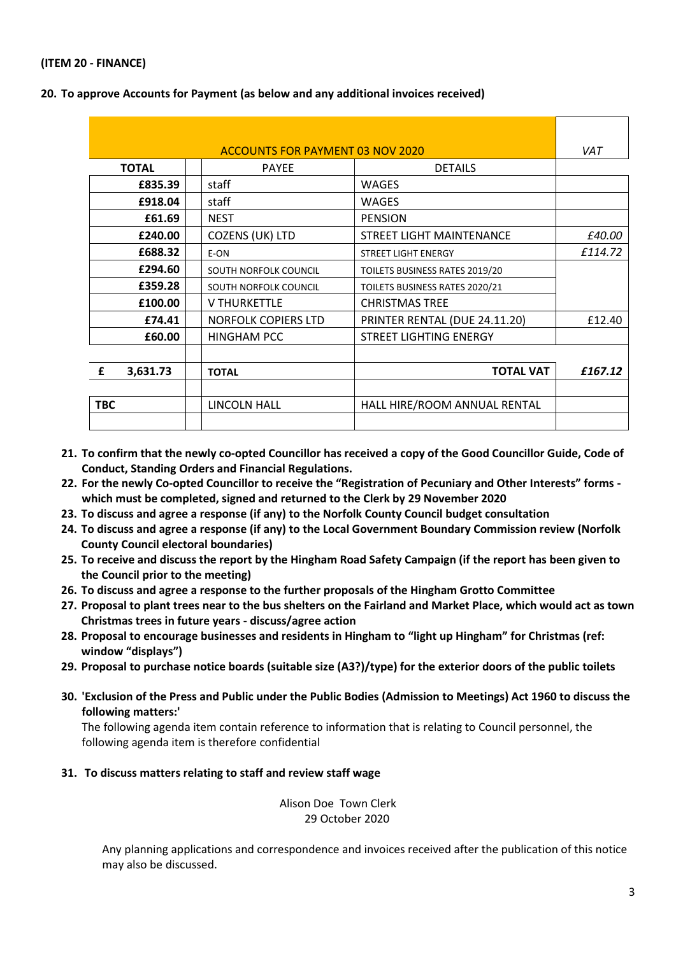#### **(ITEM 20 - FINANCE)**

| <b>ACCOUNTS FOR PAYMENT 03 NOV 2020</b> |  |                            | VAT                            |         |
|-----------------------------------------|--|----------------------------|--------------------------------|---------|
| <b>TOTAL</b>                            |  | <b>PAYEE</b>               | <b>DETAILS</b>                 |         |
| £835.39                                 |  | staff                      | <b>WAGES</b>                   |         |
| £918.04                                 |  | staff                      | <b>WAGES</b>                   |         |
| £61.69                                  |  | <b>NEST</b>                | <b>PENSION</b>                 |         |
| £240.00                                 |  | COZENS (UK) LTD            | STREET LIGHT MAINTENANCE       | £40.00  |
| £688.32                                 |  | E-ON                       | <b>STREET LIGHT ENERGY</b>     | £114.72 |
| £294.60                                 |  | SOUTH NORFOLK COUNCIL      | TOILETS BUSINESS RATES 2019/20 |         |
| £359.28                                 |  | SOUTH NORFOLK COUNCIL      | TOILETS BUSINESS RATES 2020/21 |         |
| £100.00                                 |  | V THURKETTLE               | <b>CHRISTMAS TREE</b>          |         |
| £74.41                                  |  | <b>NORFOLK COPIERS LTD</b> | PRINTER RENTAL (DUE 24.11.20)  | £12.40  |
| £60.00                                  |  | HINGHAM PCC                | STREET LIGHTING ENERGY         |         |
|                                         |  |                            |                                |         |
| £<br>3,631.73                           |  | <b>TOTAL</b>               | <b>TOTAL VAT</b>               | £167.12 |
|                                         |  |                            |                                |         |
| <b>TBC</b>                              |  | LINCOLN HALL               | HALL HIRE/ROOM ANNUAL RENTAL   |         |
|                                         |  |                            |                                |         |

#### **20. To approve Accounts for Payment (as below and any additional invoices received)**

- **21. To confirm that the newly co-opted Councillor has received a copy of the Good Councillor Guide, Code of Conduct, Standing Orders and Financial Regulations.**
- **22. For the newly Co-opted Councillor to receive the "Registration of Pecuniary and Other Interests" forms which must be completed, signed and returned to the Clerk by 29 November 2020**
- **23. To discuss and agree a response (if any) to the Norfolk County Council budget consultation**
- **24. To discuss and agree a response (if any) to the Local Government Boundary Commission review (Norfolk County Council electoral boundaries)**
- **25. To receive and discuss the report by the Hingham Road Safety Campaign (if the report has been given to the Council prior to the meeting)**
- **26. To discuss and agree a response to the further proposals of the Hingham Grotto Committee**
- **27. Proposal to plant trees near to the bus shelters on the Fairland and Market Place, which would act as town Christmas trees in future years - discuss/agree action**
- **28. Proposal to encourage businesses and residents in Hingham to "light up Hingham" for Christmas (ref: window "displays")**
- **29. Proposal to purchase notice boards (suitable size (A3?)/type) for the exterior doors of the public toilets**
- **30. 'Exclusion of the Press and Public under the Public Bodies (Admission to Meetings) Act 1960 to discuss the following matters:'**

The following agenda item contain reference to information that is relating to Council personnel, the following agenda item is therefore confidential

**31. To discuss matters relating to staff and review staff wage**

Alison Doe Town Clerk 29 October 2020

Any planning applications and correspondence and invoices received after the publication of this notice may also be discussed.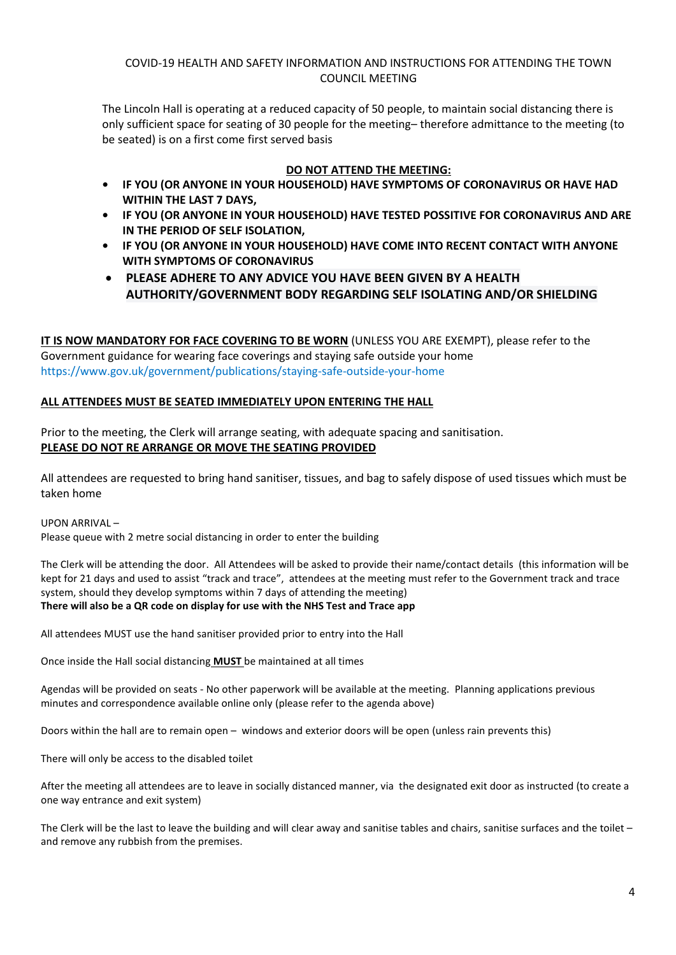### COVID-19 HEALTH AND SAFETY INFORMATION AND INSTRUCTIONS FOR ATTENDING THE TOWN COUNCIL MEETING

The Lincoln Hall is operating at a reduced capacity of 50 people, to maintain social distancing there is only sufficient space for seating of 30 people for the meeting– therefore admittance to the meeting (to be seated) is on a first come first served basis

## **DO NOT ATTEND THE MEETING:**

- **• IF YOU (OR ANYONE IN YOUR HOUSEHOLD) HAVE SYMPTOMS OF CORONAVIRUS OR HAVE HAD WITHIN THE LAST 7 DAYS,**
- **• IF YOU (OR ANYONE IN YOUR HOUSEHOLD) HAVE TESTED POSSITIVE FOR CORONAVIRUS AND ARE IN THE PERIOD OF SELF ISOLATION,**
- **• IF YOU (OR ANYONE IN YOUR HOUSEHOLD) HAVE COME INTO RECENT CONTACT WITH ANYONE WITH SYMPTOMS OF CORONAVIRUS**
- **PLEASE ADHERE TO ANY ADVICE YOU HAVE BEEN GIVEN BY A HEALTH AUTHORITY/GOVERNMENT BODY REGARDING SELF ISOLATING AND/OR SHIELDING**

**IT IS NOW MANDATORY FOR FACE COVERING TO BE WORN** (UNLESS YOU ARE EXEMPT), please refer to the Government guidance for wearing face coverings and staying safe outside your home <https://www.gov.uk/government/publications/staying-safe-outside-your-home>

## **ALL ATTENDEES MUST BE SEATED IMMEDIATELY UPON ENTERING THE HALL**

Prior to the meeting, the Clerk will arrange seating, with adequate spacing and sanitisation. **PLEASE DO NOT RE ARRANGE OR MOVE THE SEATING PROVIDED**

All attendees are requested to bring hand sanitiser, tissues, and bag to safely dispose of used tissues which must be taken home

UPON ARRIVAL –

Please queue with 2 metre social distancing in order to enter the building

The Clerk will be attending the door. All Attendees will be asked to provide their name/contact details (this information will be kept for 21 days and used to assist "track and trace", attendees at the meeting must refer to the Government track and trace system, should they develop symptoms within 7 days of attending the meeting) **There will also be a QR code on display for use with the NHS Test and Trace app**

All attendees MUST use the hand sanitiser provided prior to entry into the Hall

Once inside the Hall social distancing **MUST** be maintained at all times

Agendas will be provided on seats - No other paperwork will be available at the meeting. Planning applications previous minutes and correspondence available online only (please refer to the agenda above)

Doors within the hall are to remain open – windows and exterior doors will be open (unless rain prevents this)

There will only be access to the disabled toilet

After the meeting all attendees are to leave in socially distanced manner, via the designated exit door as instructed (to create a one way entrance and exit system)

The Clerk will be the last to leave the building and will clear away and sanitise tables and chairs, sanitise surfaces and the toilet – and remove any rubbish from the premises.